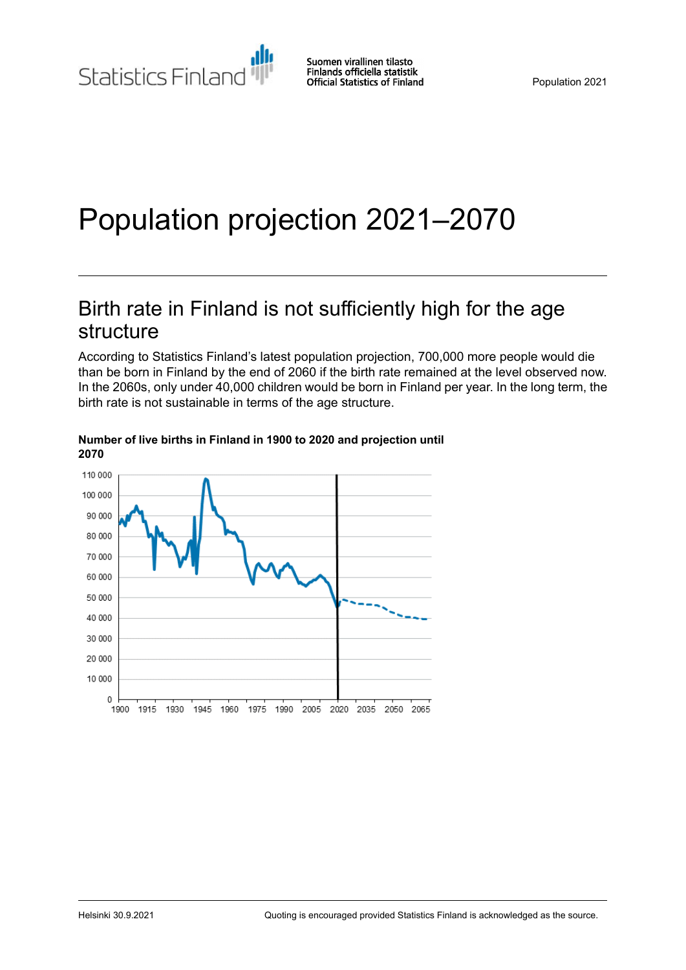# Population projection 2021–2070

## Birth rate in Finland is not sufficiently high for the age structure

According to Statistics Finland's latest population projection, 700,000 more people would die than be born in Finland by the end of 2060 if the birth rate remained at the level observed now. In the 2060s, only under 40,000 children would be born in Finland per year. In the long term, the birth rate is not sustainable in terms of the age structure.



#### **Number of live births in Finland in 1900 to 2020 and projection until 2070**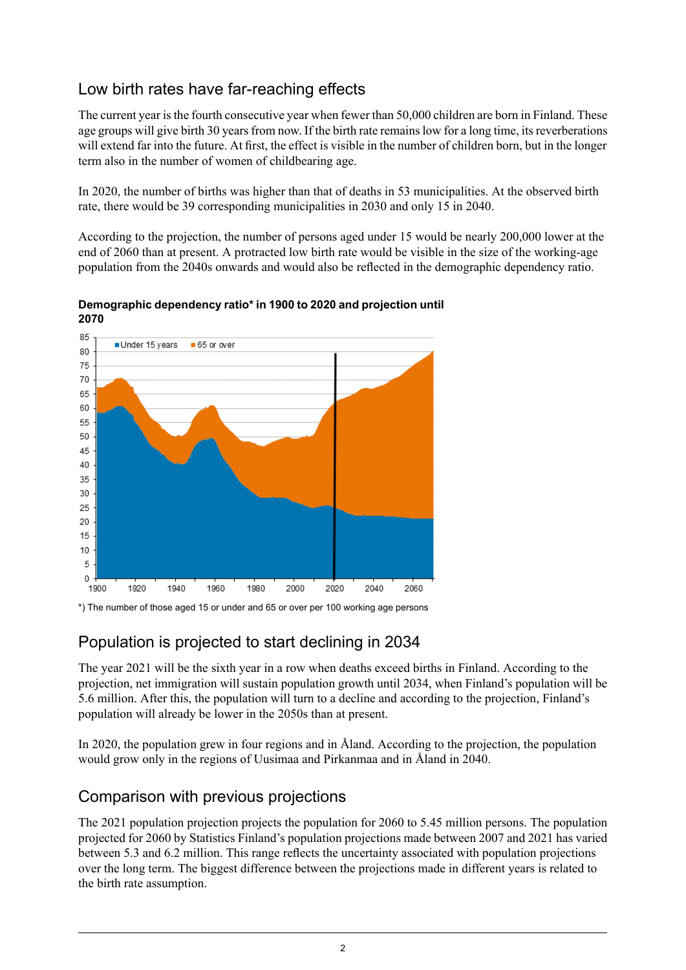## Low birth rates have far-reaching effects

The current year isthe fourth consecutive year when fewer than 50,000 children are born in Finland. These age groups will give birth 30 years from now. If the birth rate remains low for a long time, its reverberations will extend far into the future. At first, the effect is visible in the number of children born, but in the longer term also in the number of women of childbearing age.

In 2020, the number of births was higher than that of deaths in 53 municipalities. At the observed birth rate, there would be 39 corresponding municipalities in 2030 and only 15 in 2040.

According to the projection, the number of persons aged under 15 would be nearly 200,000 lower at the end of 2060 than at present. A protracted low birth rate would be visible in the size of the working-age population from the 2040s onwards and would also be reflected in the demographic dependency ratio.



**Demographic dependency ratio\* in 1900 to 2020 and projection until 2070**

## Population is projected to start declining in 2034

The year 2021 will be the sixth year in a row when deaths exceed births in Finland. According to the projection, net immigration will sustain population growth until 2034, when Finland's population will be 5.6 million. After this, the population will turn to a decline and according to the projection, Finland's population will already be lower in the 2050s than at present.

In 2020, the population grew in four regions and in Åland. According to the projection, the population would grow only in the regions of Uusimaa and Pirkanmaa and in Åland in 2040.

### Comparison with previous projections

The 2021 population projection projects the population for 2060 to 5.45 million persons. The population projected for 2060 by Statistics Finland's population projections made between 2007 and 2021 has varied between 5.3 and 6.2 million. This range reflects the uncertainty associated with population projections over the long term. The biggest difference between the projections made in different years is related to the birth rate assumption.

<sup>\*)</sup> The number of those aged 15 or under and 65 or over per 100 working age persons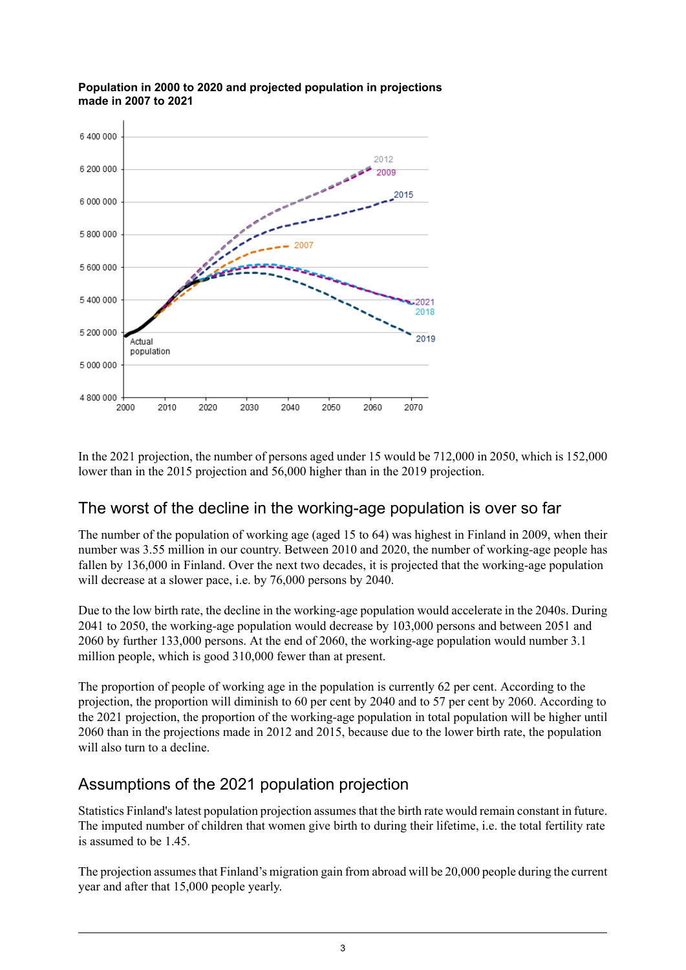

**Population in 2000 to 2020 and projected population in projections made in 2007 to 2021**

In the 2021 projection, the number of persons aged under 15 would be 712,000 in 2050, which is 152,000 lower than in the 2015 projection and 56,000 higher than in the 2019 projection.

### The worst of the decline in the working-age population is over so far

The number of the population of working age (aged 15 to 64) was highest in Finland in 2009, when their number was 3.55 million in our country. Between 2010 and 2020, the number of working-age people has fallen by 136,000 in Finland. Over the next two decades, it is projected that the working-age population will decrease at a slower pace, i.e. by 76,000 persons by 2040.

Due to the low birth rate, the decline in the working-age population would accelerate in the 2040s. During 2041 to 2050, the working-age population would decrease by 103,000 persons and between 2051 and 2060 by further 133,000 persons. At the end of 2060, the working-age population would number 3.1 million people, which is good 310,000 fewer than at present.

The proportion of people of working age in the population is currently 62 per cent. According to the projection, the proportion will diminish to 60 per cent by 2040 and to 57 per cent by 2060. According to the 2021 projection, the proportion of the working-age population in total population will be higher until 2060 than in the projections made in 2012 and 2015, because due to the lower birth rate, the population will also turn to a decline.

### Assumptions of the 2021 population projection

Statistics Finland'slatest population projection assumesthat the birth rate would remain constant in future. The imputed number of children that women give birth to during their lifetime, i.e. the total fertility rate is assumed to be 1.45.

The projection assumes that Finland's migration gain from abroad will be 20,000 people during the current year and after that 15,000 people yearly.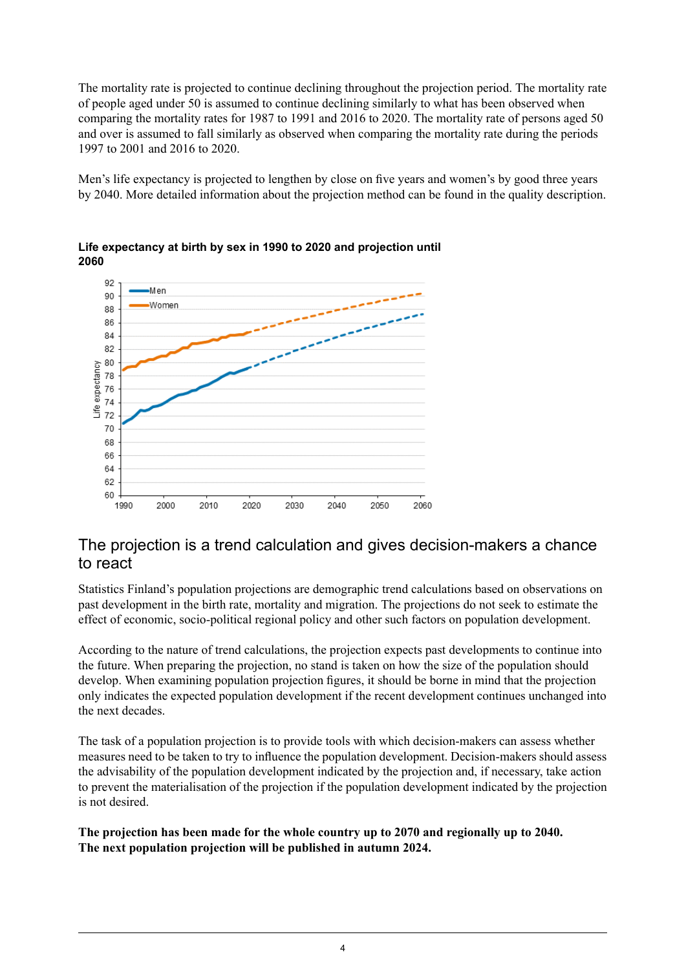The mortality rate is projected to continue declining throughout the projection period. The mortality rate of people aged under 50 is assumed to continue declining similarly to what has been observed when comparing the mortality rates for 1987 to 1991 and 2016 to 2020. The mortality rate of persons aged 50 and over is assumed to fall similarly as observed when comparing the mortality rate during the periods 1997 to 2001 and 2016 to 2020.

Men's life expectancy is projected to lengthen by close on five years and women's by good three years by 2040. More detailed information about the projection method can be found in the quality description.





### The projection is a trend calculation and gives decision-makers a chance to react

Statistics Finland's population projections are demographic trend calculations based on observations on past development in the birth rate, mortality and migration. The projections do not seek to estimate the effect of economic, socio-political regional policy and other such factors on population development.

According to the nature of trend calculations, the projection expects past developments to continue into the future. When preparing the projection, no stand is taken on how the size of the population should develop. When examining population projection figures, it should be borne in mind that the projection only indicates the expected population development if the recent development continues unchanged into the next decades.

The task of a population projection is to provide tools with which decision-makers can assess whether measures need to be taken to try to influence the population development. Decision-makers should assess the advisability of the population development indicated by the projection and, if necessary, take action to prevent the materialisation of the projection if the population development indicated by the projection is not desired.

**The projection has been made for the whole country up to 2070 and regionally up to 2040. The next population projection will be published in autumn 2024.**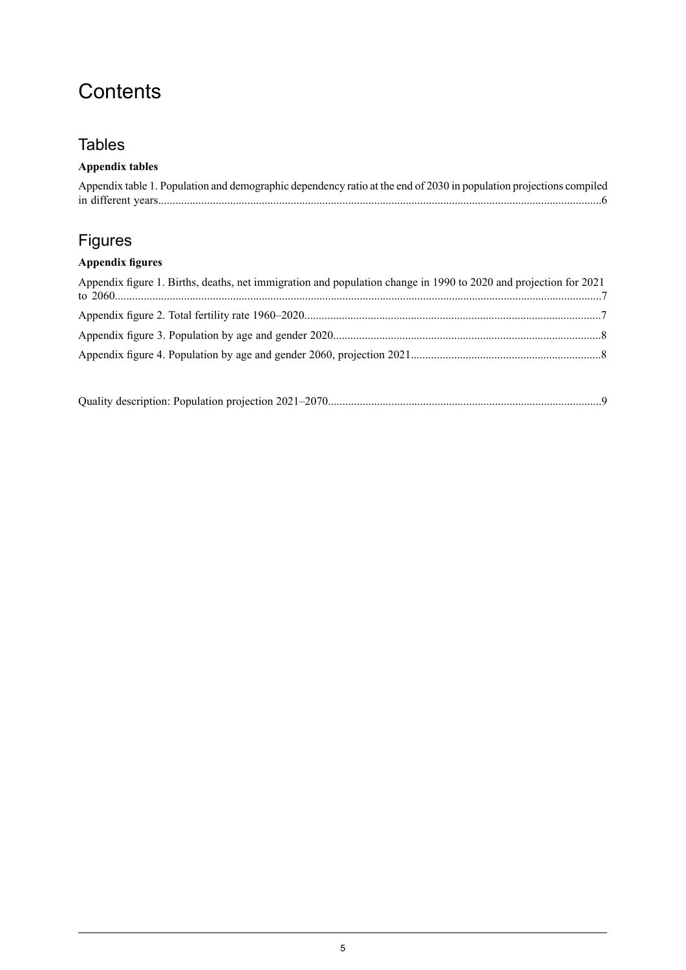## **Contents**

## **Tables**

### **Appendix tables**

| Appendix table 1. Population and demographic dependency ratio at the end of 2030 in population projections compiled |  |
|---------------------------------------------------------------------------------------------------------------------|--|
|                                                                                                                     |  |

## Figures

### **Appendix figures**

| Appendix figure 1. Births, deaths, net immigration and population change in 1990 to 2020 and projection for 2021 |  |
|------------------------------------------------------------------------------------------------------------------|--|
|                                                                                                                  |  |
|                                                                                                                  |  |
|                                                                                                                  |  |
|                                                                                                                  |  |

|--|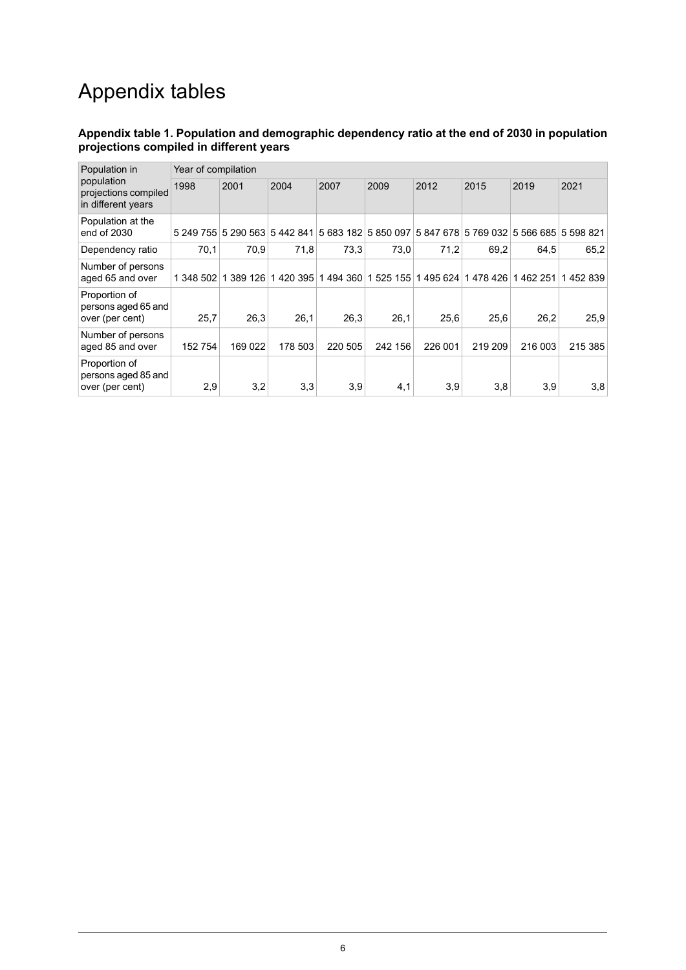## Appendix tables

#### <span id="page-5-0"></span>**Appendix table 1. Population and demographic dependency ratio at the end of 2030 in population projections compiled in different years**

| Population in<br>population<br>projections compiled<br>in different years | Year of compilation |                               |          |         |                     |                                         |         |         |         |
|---------------------------------------------------------------------------|---------------------|-------------------------------|----------|---------|---------------------|-----------------------------------------|---------|---------|---------|
|                                                                           | 1998                | 2001                          | 2004     | 2007    | 2009                | 2012                                    | 2015    | 2019    | 2021    |
| Population at the<br>end of 2030                                          |                     | 5 249 755 5 290 563 5 442 841 |          |         | 5 683 182 5 850 097 | 5 847 678 5 769 032 5 566 685 5 598 821 |         |         |         |
| Dependency ratio                                                          | 70.1                | 70,9                          | 71,8     | 73,3    | 73.0                | 71.2                                    | 69.2    | 64.5    | 65,2    |
| Number of persons<br>aged 65 and over                                     | 1 348 502           | 389 126                       | 1420 395 | 1494360 | 525 155             | 495 624<br>1                            | 1478426 | 1462251 | 1452839 |
| Proportion of<br>persons aged 65 and<br>over (per cent)                   | 25,7                | 26,3                          | 26,1     | 26,3    | 26,1                | 25,6                                    | 25,6    | 26.2    | 25,9    |
| Number of persons<br>aged 85 and over                                     | 152 754             | 169022                        | 178 503  | 220 505 | 242 156             | 226 001                                 | 219 209 | 216 003 | 215 385 |
| Proportion of<br>persons aged 85 and<br>over (per cent)                   | 2,9                 | 3,2                           | 3,3      | 3.9     | 4,1                 | 3,9                                     | 3,8     | 3,9     | 3,8     |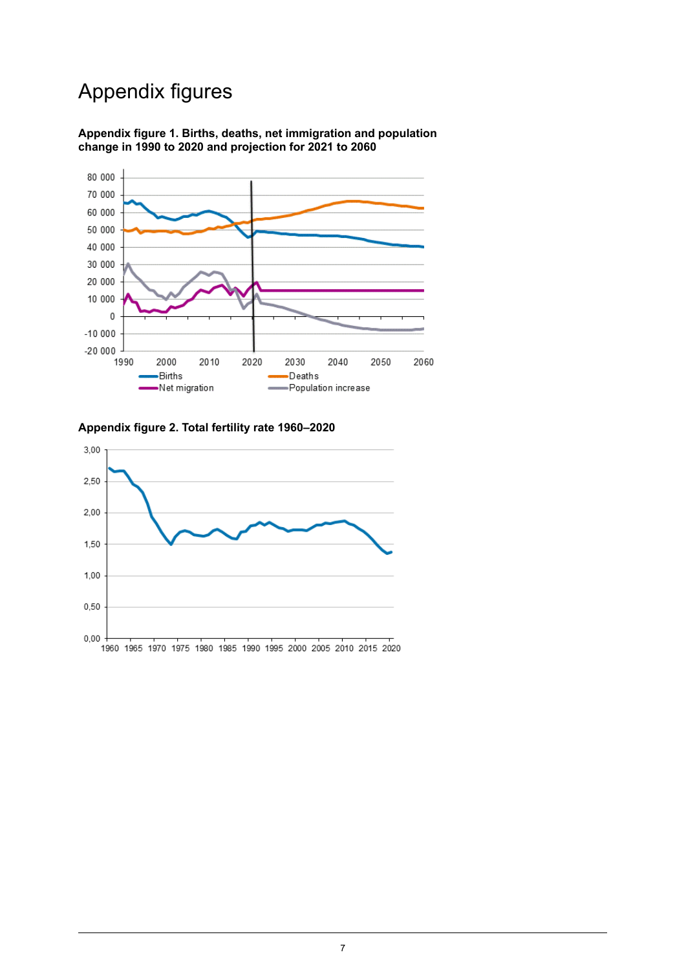## Appendix figures

<span id="page-6-0"></span>**Appendix figure 1. Births, deaths, net immigration and population change in 1990 to 2020 and projection for 2021 to 2060**



#### <span id="page-6-1"></span>**Appendix figure 2. Total fertility rate 1960–2020**

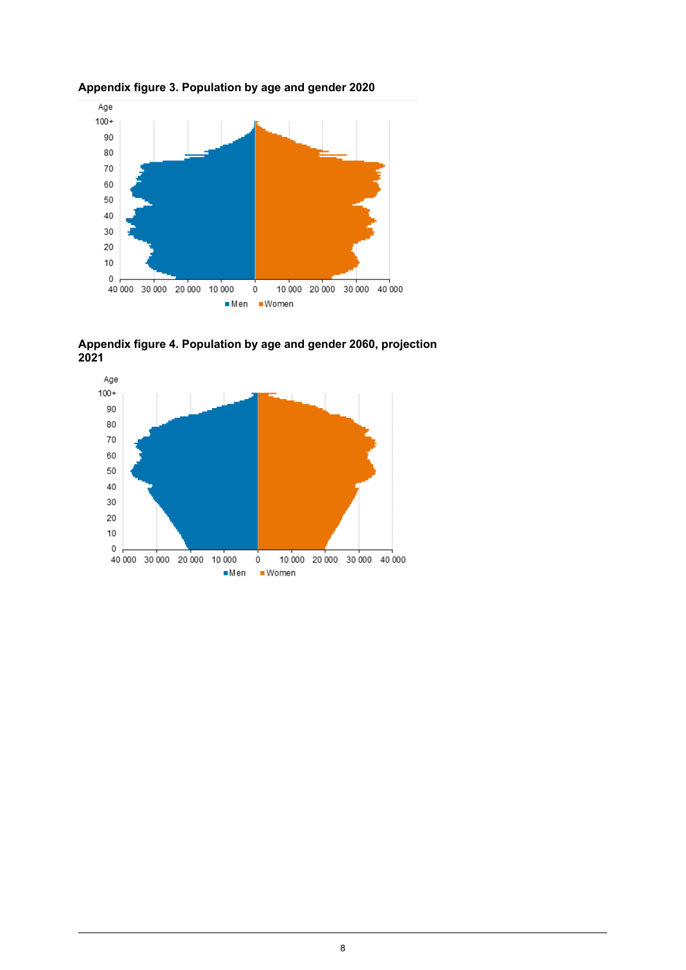

<span id="page-7-0"></span>**Appendix figure 3. Population by age and gender 2020**

<span id="page-7-1"></span>

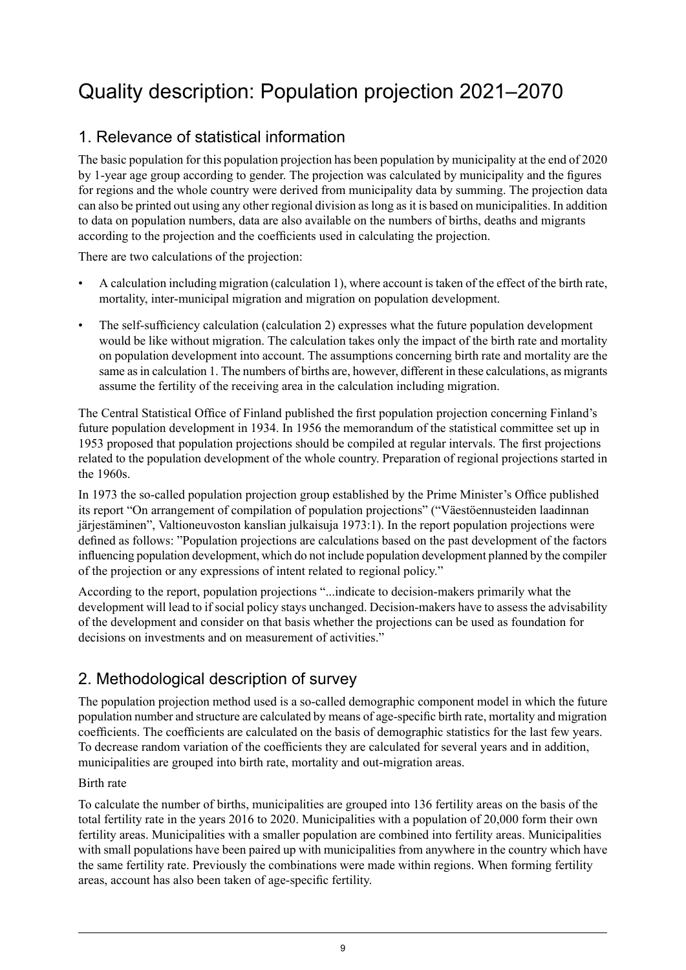## <span id="page-8-0"></span>Quality description: Population projection 2021–2070

## 1. Relevance of statistical information

The basic population for this population projection has been population by municipality at the end of 2020 by 1-year age group according to gender. The projection was calculated by municipality and the figures for regions and the whole country were derived from municipality data by summing. The projection data can also be printed out using any other regional division as long as it is based on municipalities. In addition to data on population numbers, data are also available on the numbers of births, deaths and migrants according to the projection and the coefficients used in calculating the projection.

There are two calculations of the projection:

- A calculation including migration (calculation 1), where account is taken of the effect of the birth rate, mortality, inter-municipal migration and migration on population development.
- The self-sufficiency calculation (calculation 2) expresses what the future population development would be like without migration. The calculation takes only the impact of the birth rate and mortality on population development into account. The assumptions concerning birth rate and mortality are the same as in calculation 1. The numbers of births are, however, different in these calculations, as migrants assume the fertility of the receiving area in the calculation including migration.

The Central Statistical Office of Finland published the first population projection concerning Finland's future population development in 1934. In 1956 the memorandum of the statistical committee set up in 1953 proposed that population projections should be compiled at regular intervals. The first projections related to the population development of the whole country. Preparation of regional projections started in the 1960s.

In 1973 the so-called population projection group established by the Prime Minister's Office published its report "On arrangement of compilation of population projections" ("Väestöennusteiden laadinnan järjestäminen", Valtioneuvoston kanslian julkaisuja 1973:1). In the report population projections were defined as follows: "Population projections are calculations based on the past development of the factors influencing population development, which do not include population development planned by the compiler of the projection or any expressions of intent related to regional policy."

According to the report, population projections "...indicate to decision-makers primarily what the development will lead to if social policy stays unchanged. Decision-makers have to assess the advisability of the development and consider on that basis whether the projections can be used as foundation for decisions on investments and on measurement of activities."

## 2. Methodological description of survey

The population projection method used is a so-called demographic component model in which the future population number and structure are calculated by means of age-specific birth rate, mortality and migration coefficients. The coefficients are calculated on the basis of demographic statistics for the last few years. To decrease random variation of the coefficients they are calculated for several years and in addition, municipalities are grouped into birth rate, mortality and out-migration areas.

#### Birth rate

To calculate the number of births, municipalities are grouped into 136 fertility areas on the basis of the total fertility rate in the years 2016 to 2020. Municipalities with a population of 20,000 form their own fertility areas. Municipalities with a smaller population are combined into fertility areas. Municipalities with small populations have been paired up with municipalities from anywhere in the country which have the same fertility rate. Previously the combinations were made within regions. When forming fertility areas, account has also been taken of age-specific fertility.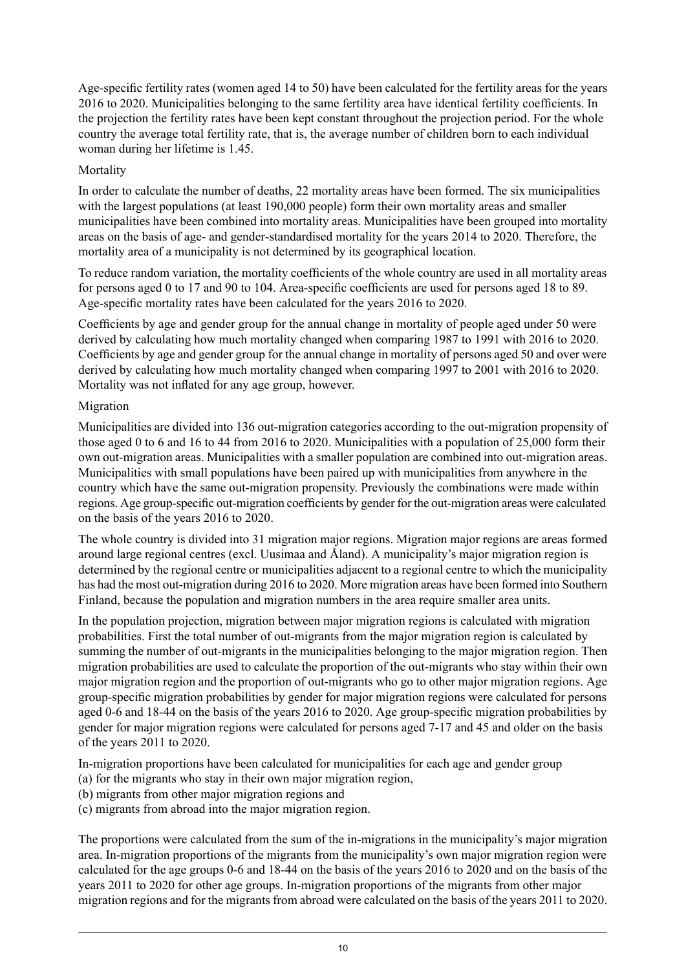Age-specific fertility rates (women aged 14 to 50) have been calculated for the fertility areas for the years 2016 to 2020. Municipalities belonging to the same fertility area have identical fertility coefficients. In the projection the fertility rates have been kept constant throughout the projection period. For the whole country the average total fertility rate, that is, the average number of children born to each individual woman during her lifetime is 1.45.

#### Mortality

In order to calculate the number of deaths, 22 mortality areas have been formed. The six municipalities with the largest populations (at least 190,000 people) form their own mortality areas and smaller municipalities have been combined into mortality areas. Municipalities have been grouped into mortality areas on the basis of age- and gender-standardised mortality for the years 2014 to 2020. Therefore, the mortality area of a municipality is not determined by its geographical location.

To reduce random variation, the mortality coefficients of the whole country are used in all mortality areas for persons aged 0 to 17 and 90 to 104. Area-specific coefficients are used for persons aged 18 to 89. Age-specific mortality rates have been calculated for the years 2016 to 2020.

Coefficients by age and gender group for the annual change in mortality of people aged under 50 were derived by calculating how much mortality changed when comparing 1987 to 1991 with 2016 to 2020. Coefficients by age and gender group for the annual change in mortality of persons aged 50 and over were derived by calculating how much mortality changed when comparing 1997 to 2001 with 2016 to 2020. Mortality was not inflated for any age group, however.

#### Migration

Municipalities are divided into 136 out-migration categories according to the out-migration propensity of those aged 0 to 6 and 16 to 44 from 2016 to 2020. Municipalities with a population of 25,000 form their own out-migration areas. Municipalities with a smaller population are combined into out-migration areas. Municipalities with small populations have been paired up with municipalities from anywhere in the country which have the same out-migration propensity. Previously the combinations were made within regions. Age group-specific out-migration coefficients by gender for the out-migration areas were calculated on the basis of the years 2016 to 2020.

The whole country is divided into 31 migration major regions. Migration major regions are areas formed around large regional centres (excl. Uusimaa and Åland). A municipality's major migration region is determined by the regional centre or municipalities adjacent to a regional centre to which the municipality has had the most out-migration during 2016 to 2020. More migration areas have been formed into Southern Finland, because the population and migration numbers in the area require smaller area units.

In the population projection, migration between major migration regions is calculated with migration probabilities. First the total number of out-migrants from the major migration region is calculated by summing the number of out-migrants in the municipalities belonging to the major migration region. Then migration probabilities are used to calculate the proportion of the out-migrants who stay within their own major migration region and the proportion of out-migrants who go to other major migration regions. Age group-specific migration probabilities by gender for major migration regions were calculated for persons aged 0-6 and 18-44 on the basis of the years 2016 to 2020. Age group-specific migration probabilities by gender for major migration regions were calculated for persons aged 7-17 and 45 and older on the basis of the years 2011 to 2020.

In-migration proportions have been calculated for municipalities for each age and gender group

- (a) for the migrants who stay in their own major migration region,
- (b) migrants from other major migration regions and
- (c) migrants from abroad into the major migration region.

The proportions were calculated from the sum of the in-migrations in the municipality's major migration area. In-migration proportions of the migrants from the municipality's own major migration region were calculated for the age groups 0-6 and 18-44 on the basis of the years 2016 to 2020 and on the basis of the years 2011 to 2020 for other age groups. In-migration proportions of the migrants from other major migration regions and for the migrants from abroad were calculated on the basis of the years 2011 to 2020.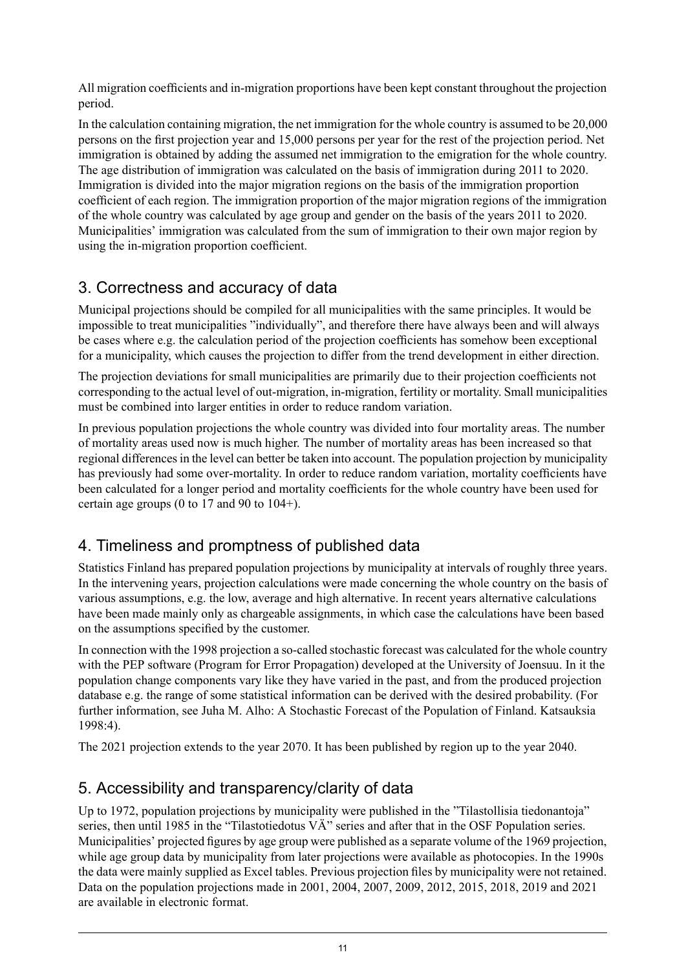All migration coefficients and in-migration proportions have been kept constant throughout the projection period.

In the calculation containing migration, the net immigration for the whole country is assumed to be 20,000 persons on the first projection year and 15,000 persons per year for the rest of the projection period. Net immigration is obtained by adding the assumed net immigration to the emigration for the whole country. The age distribution of immigration was calculated on the basis of immigration during 2011 to 2020. Immigration is divided into the major migration regions on the basis of the immigration proportion coefficient of each region. The immigration proportion of the major migration regions of the immigration of the whole country was calculated by age group and gender on the basis of the years 2011 to 2020. Municipalities' immigration was calculated from the sum of immigration to their own major region by using the in-migration proportion coefficient.

## 3. Correctness and accuracy of data

Municipal projections should be compiled for all municipalities with the same principles. It would be impossible to treat municipalities "individually", and therefore there have always been and will always be cases where e.g. the calculation period of the projection coefficients has somehow been exceptional for a municipality, which causes the projection to differ from the trend development in either direction.

The projection deviations for small municipalities are primarily due to their projection coefficients not corresponding to the actual level of out-migration, in-migration, fertility or mortality. Small municipalities must be combined into larger entities in order to reduce random variation.

In previous population projections the whole country was divided into four mortality areas. The number of mortality areas used now is much higher. The number of mortality areas has been increased so that regional differencesin the level can better be taken into account. The population projection by municipality has previously had some over-mortality. In order to reduce random variation, mortality coefficients have been calculated for a longer period and mortality coefficients for the whole country have been used for certain age groups (0 to 17 and 90 to 104+).

## 4. Timeliness and promptness of published data

Statistics Finland has prepared population projections by municipality at intervals of roughly three years. In the intervening years, projection calculations were made concerning the whole country on the basis of various assumptions, e.g. the low, average and high alternative. In recent years alternative calculations have been made mainly only as chargeable assignments, in which case the calculations have been based on the assumptions specified by the customer.

In connection with the 1998 projection a so-called stochastic forecast was calculated for the whole country with the PEP software (Program for Error Propagation) developed at the University of Joensuu. In it the population change components vary like they have varied in the past, and from the produced projection database e.g. the range of some statistical information can be derived with the desired probability. (For further information, see Juha M. Alho: A Stochastic Forecast of the Population of Finland. Katsauksia 1998:4).

The 2021 projection extends to the year 2070. It has been published by region up to the year 2040.

## 5. Accessibility and transparency/clarity of data

Up to 1972, population projections by municipality were published in the "Tilastollisia tiedonantoja" series, then until 1985 in the "Tilastotiedotus VÄ" series and after that in the OSF Population series. Municipalities' projected figures by age group were published as a separate volume of the 1969 projection, while age group data by municipality from later projections were available as photocopies. In the 1990s the data were mainly supplied as Excel tables. Previous projection files by municipality were not retained. Data on the population projections made in 2001, 2004, 2007, 2009, 2012, 2015, 2018, 2019 and 2021 are available in electronic format.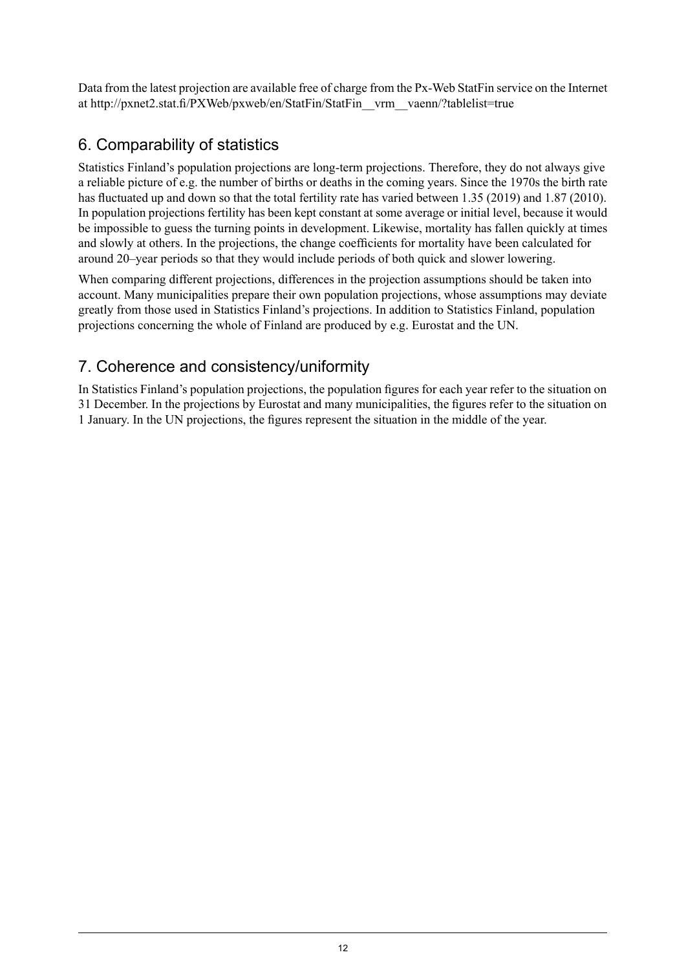Data from the latest projection are available free of charge from the Px-Web StatFin service on the Internet at http://pxnet2.stat.fi/PXWeb/pxweb/en/StatFin/StatFin\_\_vrm\_\_vaenn/?tablelist=true

## 6. Comparability of statistics

Statistics Finland's population projections are long-term projections. Therefore, they do not always give a reliable picture of e.g. the number of births or deaths in the coming years. Since the 1970s the birth rate has fluctuated up and down so that the total fertility rate has varied between 1.35 (2019) and 1.87 (2010). In population projections fertility has been kept constant at some average or initial level, because it would be impossible to guess the turning points in development. Likewise, mortality has fallen quickly at times and slowly at others. In the projections, the change coefficients for mortality have been calculated for around 20–year periods so that they would include periods of both quick and slower lowering.

When comparing different projections, differences in the projection assumptions should be taken into account. Many municipalities prepare their own population projections, whose assumptions may deviate greatly from those used in Statistics Finland's projections. In addition to Statistics Finland, population projections concerning the whole of Finland are produced by e.g. Eurostat and the UN.

## 7. Coherence and consistency/uniformity

In Statistics Finland's population projections, the population figures for each year refer to the situation on 31 December. In the projections by Eurostat and many municipalities, the figures refer to the situation on 1 January. In the UN projections, the figures represent the situation in the middle of the year.